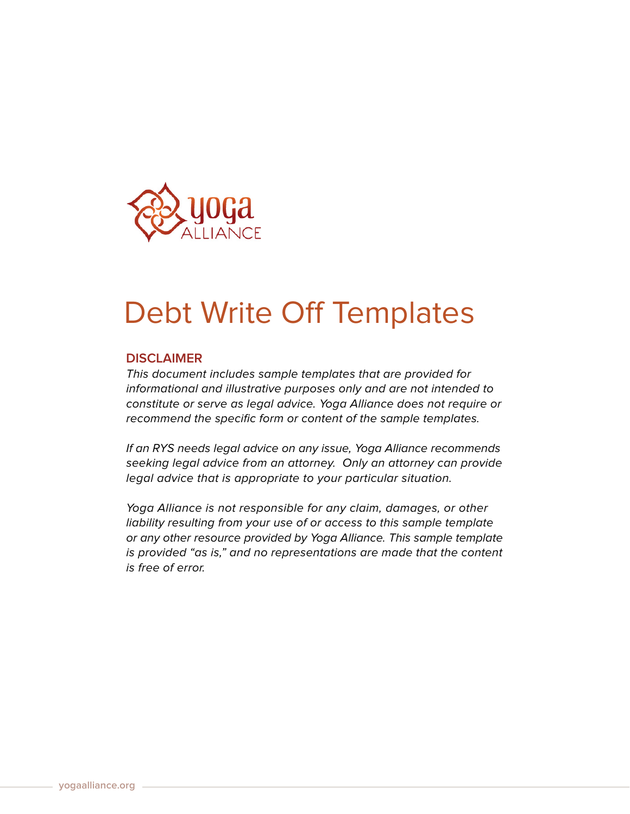

## Debt Write Off Templates

## **DISCLAIMER**

This document includes sample templates that are provided for informational and illustrative purposes only and are not intended to constitute or serve as legal advice. Yoga Alliance does not require or recommend the specific form or content of the sample templates.

If an RYS needs legal advice on any issue, Yoga Alliance recommends seeking legal advice from an attorney. Only an attorney can provide legal advice that is appropriate to your particular situation.

Yoga Alliance is not responsible for any claim, damages, or other liability resulting from your use of or access to this sample template or any other resource provided by Yoga Alliance. This sample template is provided "as is," and no representations are made that the content is free of error.